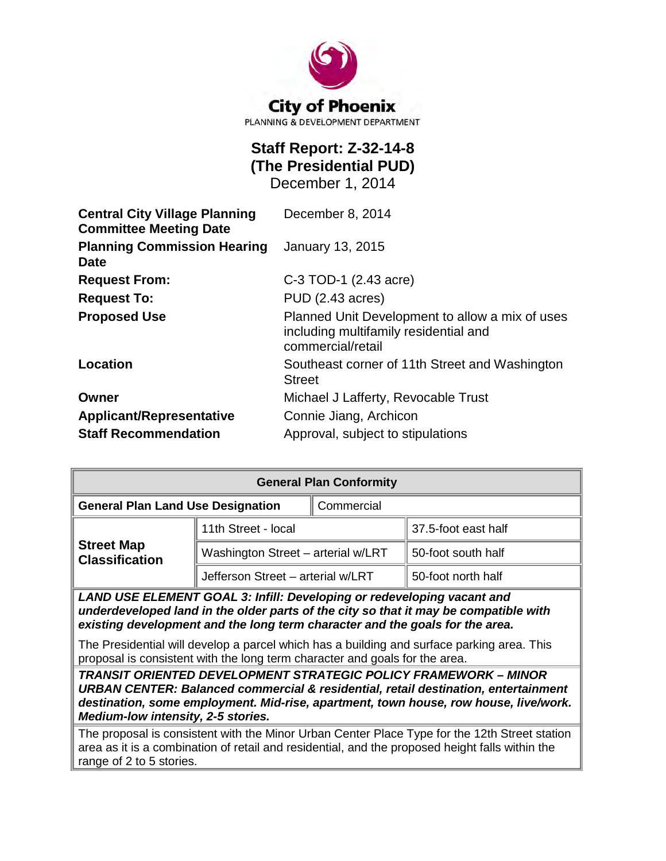

# **Staff Report: Z-32-14-8 (The Presidential PUD)**

December 1, 2014

| <b>Central City Village Planning</b><br><b>Committee Meeting Date</b> | December 8, 2014                                                                                              |
|-----------------------------------------------------------------------|---------------------------------------------------------------------------------------------------------------|
| <b>Planning Commission Hearing</b><br><b>Date</b>                     | <b>January 13, 2015</b>                                                                                       |
| <b>Request From:</b>                                                  | C-3 TOD-1 (2.43 acre)                                                                                         |
| <b>Request To:</b>                                                    | PUD (2.43 acres)                                                                                              |
| <b>Proposed Use</b>                                                   | Planned Unit Development to allow a mix of uses<br>including multifamily residential and<br>commercial/retail |
| Location                                                              | Southeast corner of 11th Street and Washington<br><b>Street</b>                                               |
| Owner                                                                 | Michael J Lafferty, Revocable Trust                                                                           |
| <b>Applicant/Representative</b>                                       | Connie Jiang, Archicon                                                                                        |
| <b>Staff Recommendation</b>                                           | Approval, subject to stipulations                                                                             |

| <b>General Plan Conformity</b>             |                                    |            |                     |  |
|--------------------------------------------|------------------------------------|------------|---------------------|--|
| <b>General Plan Land Use Designation</b>   |                                    | Commercial |                     |  |
| <b>Street Map</b><br><b>Classification</b> | 11th Street - local                |            | 37.5-foot east half |  |
|                                            | Washington Street - arterial w/LRT |            | 50-foot south half  |  |
|                                            | Jefferson Street - arterial w/LRT  |            | 50-foot north half  |  |
|                                            |                                    |            |                     |  |

*LAND USE ELEMENT GOAL 3: Infill: Developing or redeveloping vacant and underdeveloped land in the older parts of the city so that it may be compatible with existing development and the long term character and the goals for the area.*

The Presidential will develop a parcel which has a building and surface parking area. This proposal is consistent with the long term character and goals for the area.

*TRANSIT ORIENTED DEVELOPMENT STRATEGIC POLICY FRAMEWORK – MINOR URBAN CENTER: Balanced commercial & residential, retail destination, entertainment destination, some employment. Mid-rise, apartment, town house, row house, live/work. Medium-low intensity, 2-5 stories.*

The proposal is consistent with the Minor Urban Center Place Type for the 12th Street station area as it is a combination of retail and residential, and the proposed height falls within the range of 2 to 5 stories.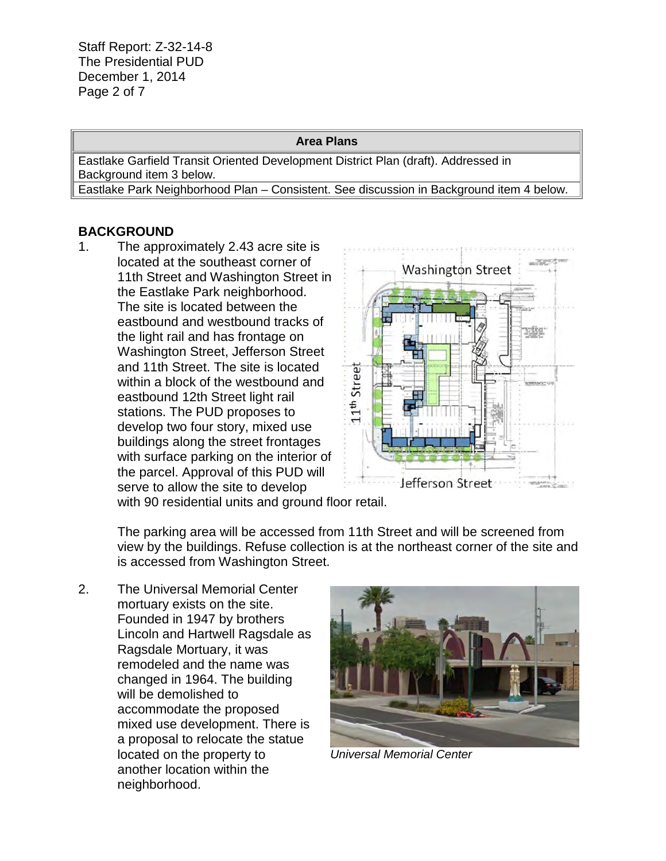Staff Report: Z-32-14-8 The Presidential PUD December 1, 2014 Page 2 of 7

#### **Area Plans**

Eastlake Garfield Transit Oriented Development District Plan (draft). Addressed in Background item 3 below.

Eastlake Park Neighborhood Plan – Consistent. See discussion in Background item 4 below.

#### **BACKGROUND**

1. The approximately 2.43 acre site is located at the southeast corner of 11th Street and Washington Street in the Eastlake Park neighborhood. The site is located between the eastbound and westbound tracks of the light rail and has frontage on Washington Street, Jefferson Street and 11th Street. The site is located within a block of the westbound and eastbound 12th Street light rail stations. The PUD proposes to develop two four story, mixed use buildings along the street frontages with surface parking on the interior of the parcel. Approval of this PUD will serve to allow the site to develop



with 90 residential units and ground floor retail.

The parking area will be accessed from 11th Street and will be screened from view by the buildings. Refuse collection is at the northeast corner of the site and is accessed from Washington Street.

2. The Universal Memorial Center mortuary exists on the site. Founded in 1947 by brothers Lincoln and Hartwell Ragsdale as Ragsdale Mortuary, it was remodeled and the name was changed in 1964. The building will be demolished to accommodate the proposed mixed use development. There is a proposal to relocate the statue located on the property to another location within the neighborhood.



*Universal Memorial Center*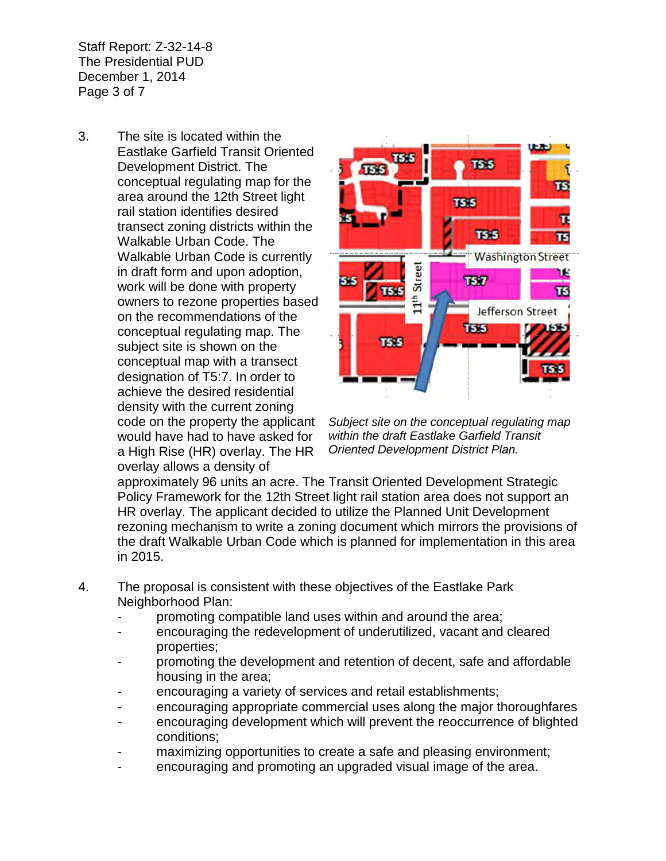Staff Report: Z-32-14-8 The Presidential PUD December 1, 2014 Page 3 of 7

3. The site is located within the Eastlake Garfield Transit Oriented Development District. The conceptual regulating map for the area around the 12th Street light rail station identifies desired transect zoning districts within the Walkable Urban Code. The Walkable Urban Code is currently in draft form and upon adoption, work will be done with property owners to rezone properties based on the recommendations of the conceptual regulating map. The subject site is shown on the conceptual map with a transect designation of T5:7. In order to achieve the desired residential density with the current zoning code on the property the applicant would have had to have asked for a High Rise (HR) overlay. The HR overlay allows a density of



*Subject site on the conceptual regulating map within the draft Eastlake Garfield Transit Oriented Development District Plan.* 

approximately 96 units an acre. The Transit Oriented Development Strategic Policy Framework for the 12th Street light rail station area does not support an HR overlay. The applicant decided to utilize the Planned Unit Development rezoning mechanism to write a zoning document which mirrors the provisions of the draft Walkable Urban Code which is planned for implementation in this area in 2015.

- 4. The proposal is consistent with these objectives of the Eastlake Park Neighborhood Plan:
	- promoting compatible land uses within and around the area;
	- encouraging the redevelopment of underutilized, vacant and cleared properties;
	- promoting the development and retention of decent, safe and affordable housing in the area;
	- encouraging a variety of services and retail establishments;
	- encouraging appropriate commercial uses along the major thoroughfares
	- encouraging development which will prevent the reoccurrence of blighted conditions;
	- maximizing opportunities to create a safe and pleasing environment;
	- encouraging and promoting an upgraded visual image of the area.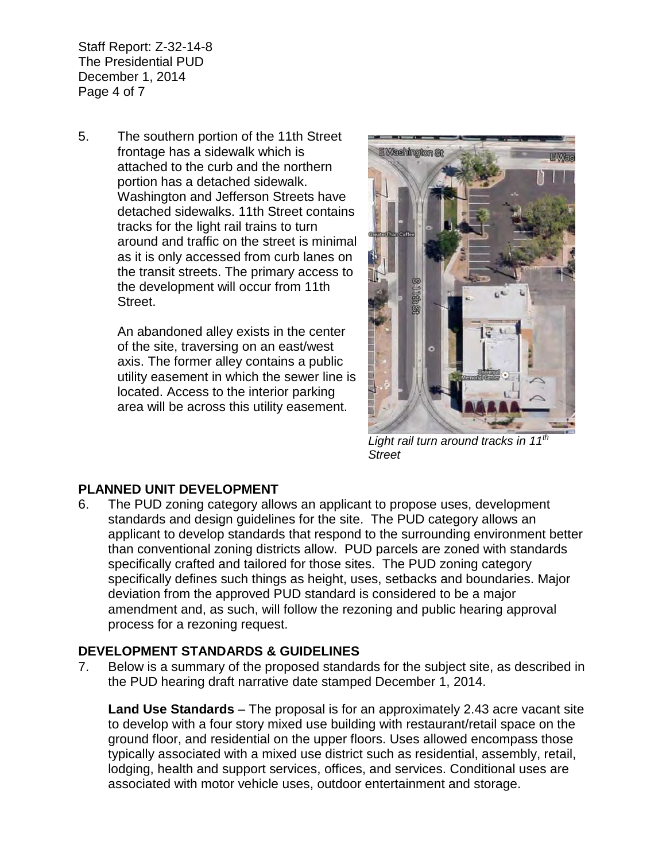Staff Report: Z-32-14-8 The Presidential PUD December 1, 2014 Page 4 of 7

5. The southern portion of the 11th Street frontage has a sidewalk which is attached to the curb and the northern portion has a detached sidewalk. Washington and Jefferson Streets have detached sidewalks. 11th Street contains tracks for the light rail trains to turn around and traffic on the street is minimal as it is only accessed from curb lanes on the transit streets. The primary access to the development will occur from 11th Street.

> An abandoned alley exists in the center of the site, traversing on an east/west axis. The former alley contains a public utility easement in which the sewer line is located. Access to the interior parking area will be across this utility easement.



*Light rail turn around tracks in 11th Street*

# **PLANNED UNIT DEVELOPMENT**

6. The PUD zoning category allows an applicant to propose uses, development standards and design guidelines for the site. The PUD category allows an applicant to develop standards that respond to the surrounding environment better than conventional zoning districts allow. PUD parcels are zoned with standards specifically crafted and tailored for those sites. The PUD zoning category specifically defines such things as height, uses, setbacks and boundaries. Major deviation from the approved PUD standard is considered to be a major amendment and, as such, will follow the rezoning and public hearing approval process for a rezoning request.

# **DEVELOPMENT STANDARDS & GUIDELINES**

7. Below is a summary of the proposed standards for the subject site, as described in the PUD hearing draft narrative date stamped December 1, 2014.

**Land Use Standards** – The proposal is for an approximately 2.43 acre vacant site to develop with a four story mixed use building with restaurant/retail space on the ground floor, and residential on the upper floors. Uses allowed encompass those typically associated with a mixed use district such as residential, assembly, retail, lodging, health and support services, offices, and services. Conditional uses are associated with motor vehicle uses, outdoor entertainment and storage.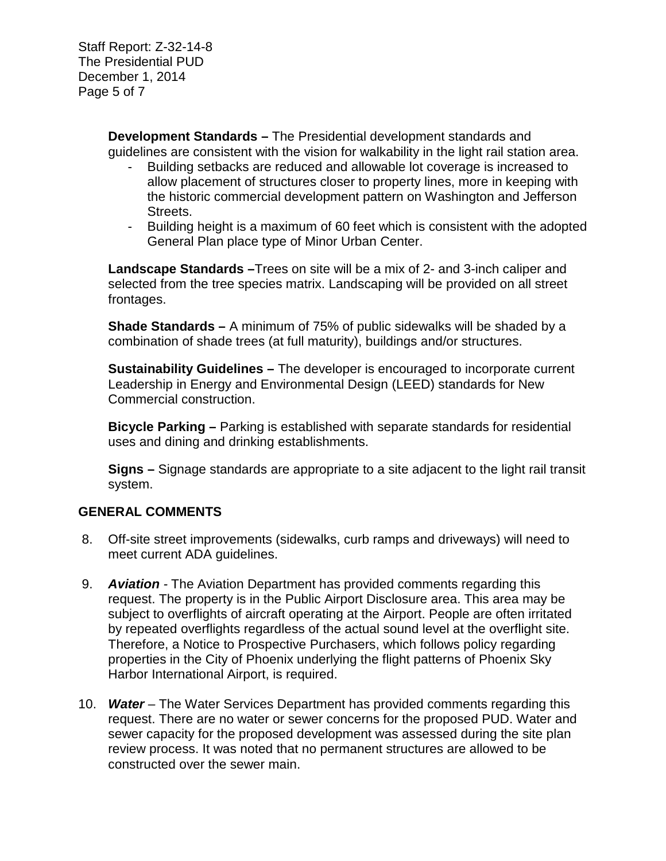Staff Report: Z-32-14-8 The Presidential PUD December 1, 2014 Page 5 of 7

> **Development Standards –** The Presidential development standards and guidelines are consistent with the vision for walkability in the light rail station area.

- Building setbacks are reduced and allowable lot coverage is increased to allow placement of structures closer to property lines, more in keeping with the historic commercial development pattern on Washington and Jefferson Streets.
- Building height is a maximum of 60 feet which is consistent with the adopted General Plan place type of Minor Urban Center.

**Landscape Standards –**Trees on site will be a mix of 2- and 3-inch caliper and selected from the tree species matrix. Landscaping will be provided on all street frontages.

**Shade Standards –** A minimum of 75% of public sidewalks will be shaded by a combination of shade trees (at full maturity), buildings and/or structures.

**Sustainability Guidelines –** The developer is encouraged to incorporate current Leadership in Energy and Environmental Design (LEED) standards for New Commercial construction.

**Bicycle Parking –** Parking is established with separate standards for residential uses and dining and drinking establishments.

**Signs –** Signage standards are appropriate to a site adjacent to the light rail transit system.

# **GENERAL COMMENTS**

- 8. Off-site street improvements (sidewalks, curb ramps and driveways) will need to meet current ADA guidelines.
- 9. *Aviation -* The Aviation Department has provided comments regarding this request. The property is in the Public Airport Disclosure area. This area may be subject to overflights of aircraft operating at the Airport. People are often irritated by repeated overflights regardless of the actual sound level at the overflight site. Therefore, a Notice to Prospective Purchasers, which follows policy regarding properties in the City of Phoenix underlying the flight patterns of Phoenix Sky Harbor International Airport, is required.
- 10. *Water –* The Water Services Department has provided comments regarding this request. There are no water or sewer concerns for the proposed PUD. Water and sewer capacity for the proposed development was assessed during the site plan review process. It was noted that no permanent structures are allowed to be constructed over the sewer main.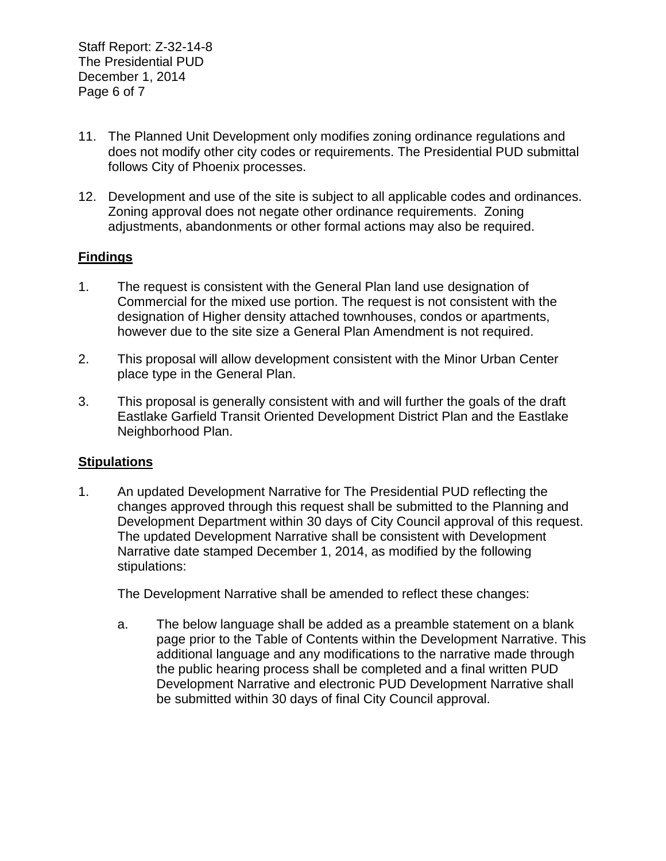Staff Report: Z-32-14-8 The Presidential PUD December 1, 2014 Page 6 of 7

- 11. The Planned Unit Development only modifies zoning ordinance regulations and does not modify other city codes or requirements. The Presidential PUD submittal follows City of Phoenix processes.
- 12. Development and use of the site is subject to all applicable codes and ordinances. Zoning approval does not negate other ordinance requirements. Zoning adjustments, abandonments or other formal actions may also be required.

## **Findings**

- 1. The request is consistent with the General Plan land use designation of Commercial for the mixed use portion. The request is not consistent with the designation of Higher density attached townhouses, condos or apartments, however due to the site size a General Plan Amendment is not required.
- 2. This proposal will allow development consistent with the Minor Urban Center place type in the General Plan.
- 3. This proposal is generally consistent with and will further the goals of the draft Eastlake Garfield Transit Oriented Development District Plan and the Eastlake Neighborhood Plan.

### **Stipulations**

1. An updated Development Narrative for The Presidential PUD reflecting the changes approved through this request shall be submitted to the Planning and Development Department within 30 days of City Council approval of this request. The updated Development Narrative shall be consistent with Development Narrative date stamped December 1, 2014, as modified by the following stipulations:

The Development Narrative shall be amended to reflect these changes:

a. The below language shall be added as a preamble statement on a blank page prior to the Table of Contents within the Development Narrative. This additional language and any modifications to the narrative made through the public hearing process shall be completed and a final written PUD Development Narrative and electronic PUD Development Narrative shall be submitted within 30 days of final City Council approval.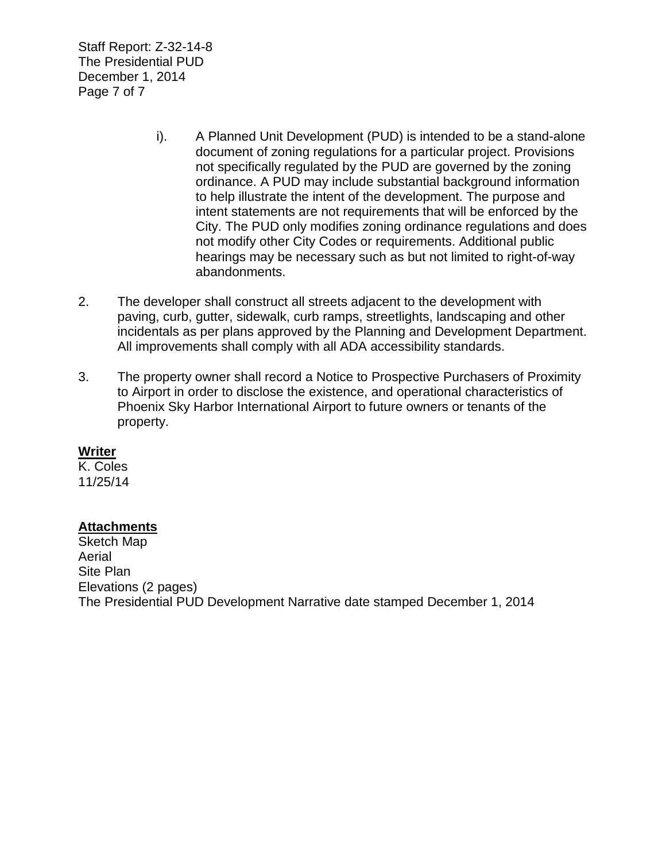Staff Report: Z-32-14-8 The Presidential PUD December 1, 2014 Page 7 of 7

- i). A Planned Unit Development (PUD) is intended to be a stand-alone document of zoning regulations for a particular project. Provisions not specifically regulated by the PUD are governed by the zoning ordinance. A PUD may include substantial background information to help illustrate the intent of the development. The purpose and intent statements are not requirements that will be enforced by the City. The PUD only modifies zoning ordinance regulations and does not modify other City Codes or requirements. Additional public hearings may be necessary such as but not limited to right-of-way abandonments.
- 2. The developer shall construct all streets adjacent to the development with paving, curb, gutter, sidewalk, curb ramps, streetlights, landscaping and other incidentals as per plans approved by the Planning and Development Department. All improvements shall comply with all ADA accessibility standards.
- 3. The property owner shall record a Notice to Prospective Purchasers of Proximity to Airport in order to disclose the existence, and operational characteristics of Phoenix Sky Harbor International Airport to future owners or tenants of the property.

### **Writer**

K. Coles 11/25/14

### **Attachments**

Sketch Map Aerial Site Plan Elevations (2 pages) The Presidential PUD Development Narrative date stamped December 1, 2014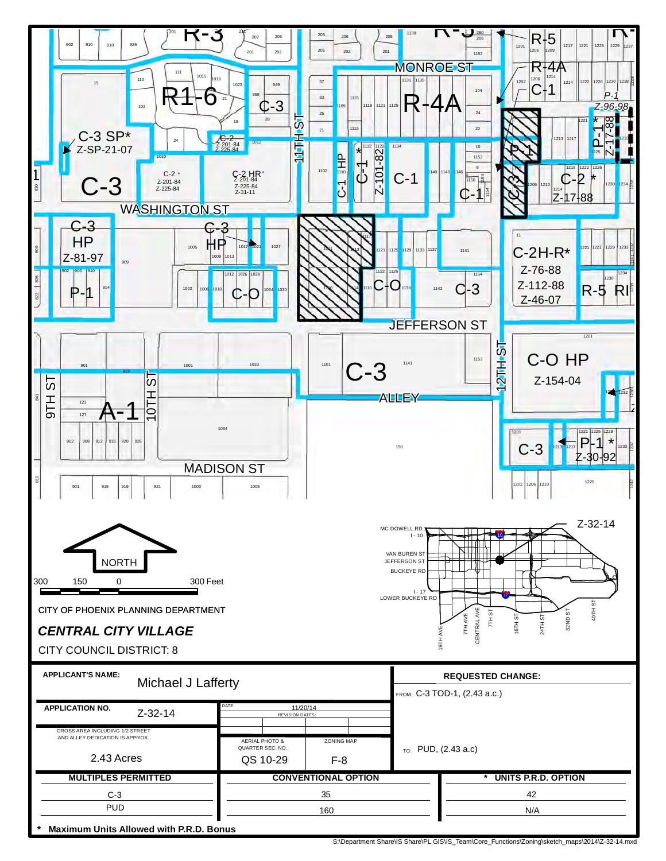

S:\Department Share\IS Share\PL GIS\IS\_Team\Core\_Functions\Zoning\sketch\_maps\2014\Z-32-14.mxd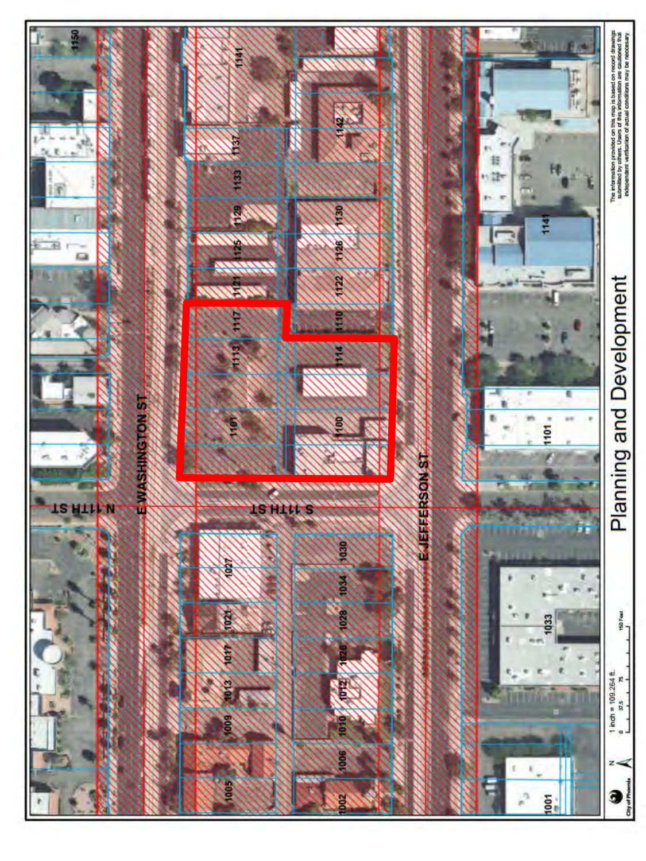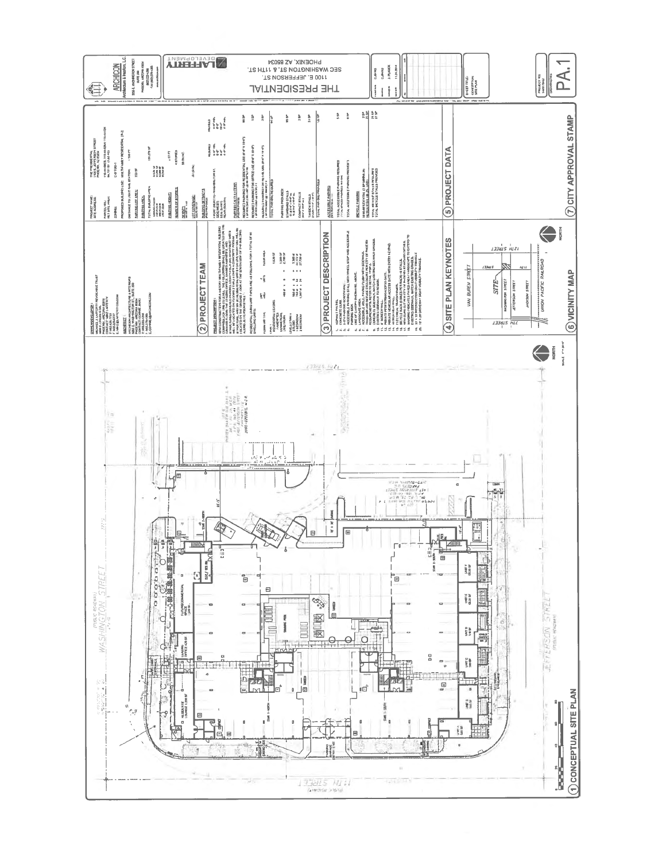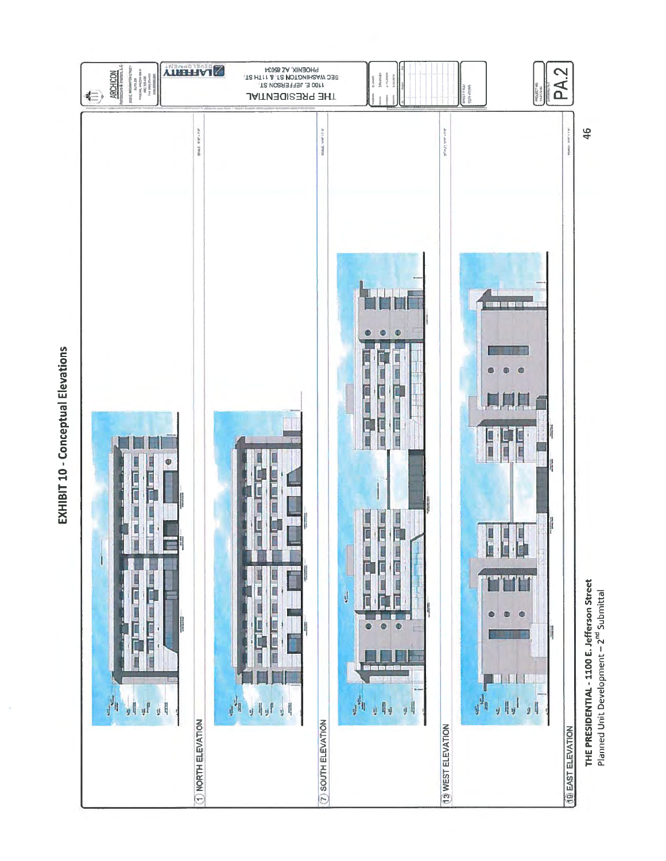EXHIBIT 10 - Conceptual Elevations



THE PRESIDENTIAL - 1100 E. Jefferson Street<br>Planned Unit Development – 2<sup>nd</sup> Submittal